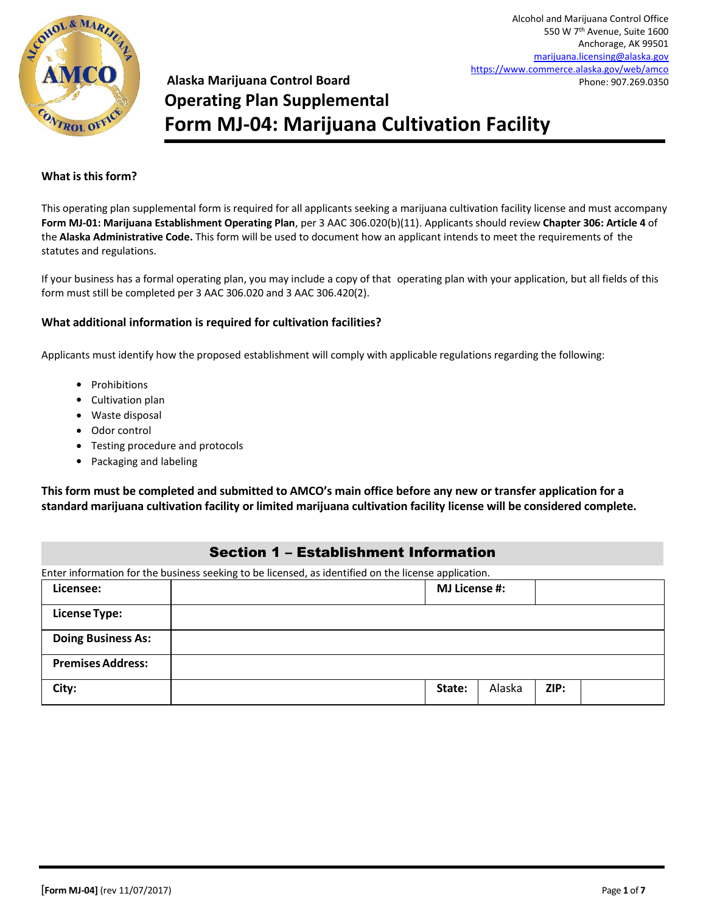

# **Alaska Marijuana Control Board Operating Plan Supplemental Form MJ-04: Marijuana Cultivation Facility**

#### **What is this form?**

This operating plan supplemental form is required for all applicants seeking a marijuana cultivation facility license and must accompany **Form MJ-01: Marijuana Establishment Operating Plan**, per 3 AAC 306.020(b)(11). Applicants should review **Chapter 306: Article 4** of the **Alaska Administrative Code.** This form will be used to document how an applicant intends to meet the requirements of the statutes and regulations.

If your business has a formal operating plan, you may include a copy of that operating plan with your application, but all fields of this form must still be completed per 3 AAC 306.020 and 3 AAC 306.420(2).

#### **What additional information is required for cultivation facilities?**

Applicants must identify how the proposed establishment will comply with applicable regulations regarding the following:

- Prohibitions
- Cultivation plan
- Waste disposal
- Odor control
- Testing procedure and protocols
- Packaging and labeling

**This form must be completed and submitted to AMCO's main office before any new or transfer application for a standard marijuana cultivation facility or limited marijuana cultivation facility license will be considered complete.**

### Section 1 – Establishment Information

| Enter information for the business seeking to be licensed, as identified on the license application. |        |                      |      |  |
|------------------------------------------------------------------------------------------------------|--------|----------------------|------|--|
| Licensee:                                                                                            |        | <b>MJ License #:</b> |      |  |
| <b>License Type:</b>                                                                                 |        |                      |      |  |
| <b>Doing Business As:</b>                                                                            |        |                      |      |  |
| <b>Premises Address:</b>                                                                             |        |                      |      |  |
| City:                                                                                                | State: | Alaska               | ZIP: |  |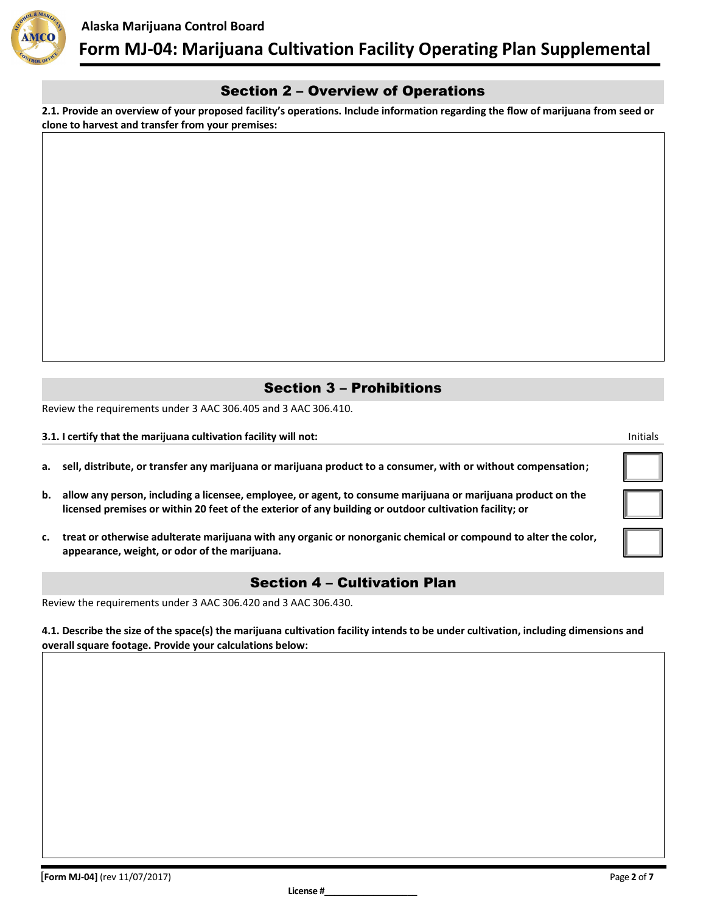

# Section 2 – Overview of Operations

**2.1. Provide an overview of your proposed facility's operations. Include information regarding the flow of marijuana from seed or clone to harvest and transfer from your premises:**

# Section 3 – Prohibitions

Review the requirements under 3 AAC 306.405 and 3 AAC 306.410.

#### **3.1. I certify that the marijuana cultivation facility will not:** Initials

|  |  |  |  |  | a. sell, distribute, or transfer any marijuana or marijuana product to a consumer, with or without compensation; |  |  |
|--|--|--|--|--|------------------------------------------------------------------------------------------------------------------|--|--|
|--|--|--|--|--|------------------------------------------------------------------------------------------------------------------|--|--|

- **b. allow any person, including a licensee, employee, or agent, to consume marijuana or marijuana product on the licensed premises or within 20 feet of the exterior of any building or outdoor cultivation facility; or**
- **c. treat or otherwise adulterate marijuana with any organic or nonorganic chemical or compound to alter the color, appearance, weight, or odor of the marijuana.**

### Section 4 – Cultivation Plan

Review the requirements under 3 AAC 306.420 and 3 AAC 306.430.

**4.1. Describe the size of the space(s) the marijuana cultivation facility intends to be under cultivation, including dimensions and overall square footage. Provide your calculations below:**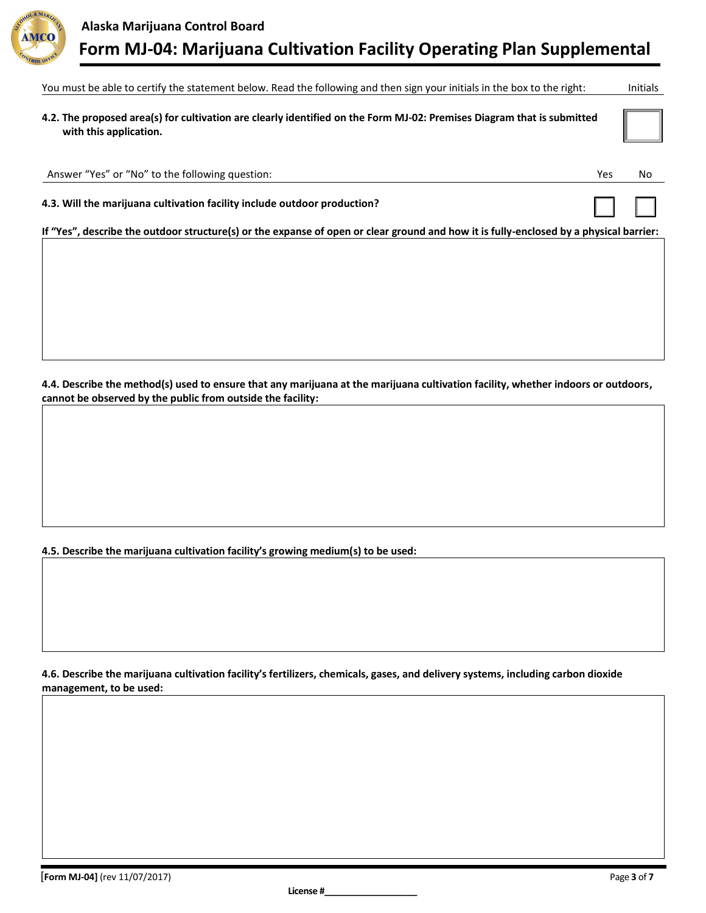

| You must be able to certify the statement below. Read the following and then sign your initials in the box to the right:                         |     | <b>Initials</b> |
|--------------------------------------------------------------------------------------------------------------------------------------------------|-----|-----------------|
| 4.2. The proposed area(s) for cultivation are clearly identified on the Form MJ-02: Premises Diagram that is submitted<br>with this application. |     |                 |
| Answer "Yes" or "No" to the following question:                                                                                                  | Yes | No              |
| 4.3. Will the marijuana cultivation facility include outdoor production?                                                                         |     |                 |
| If "Yes", describe the outdoor structure(s) or the expanse of open or clear ground and how it is fully-enclosed by a physical barrier:           |     |                 |
|                                                                                                                                                  |     |                 |
|                                                                                                                                                  |     |                 |
|                                                                                                                                                  |     |                 |

**4.4. Describe the method(s) used to ensure that any marijuana at the marijuana cultivation facility, whether indoors or outdoors, cannot be observed by the public from outside the facility:**

**4.5. Describe the marijuana cultivation facility's growing medium(s) to be used:**

**4.6. Describe the marijuana cultivation facility's fertilizers, chemicals, gases, and delivery systems, including carbon dioxide management, to be used:**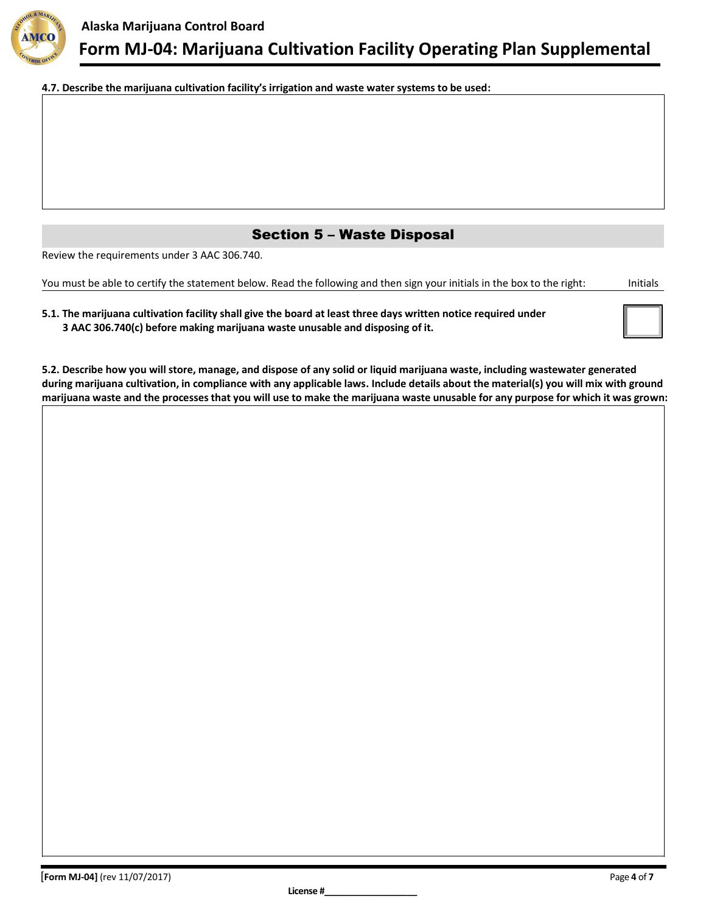

**4.7. Describe the marijuana cultivation facility's irrigation and waste water systems to be used:**

# Section 5 – Waste Disposal

Review the requirements under 3 AAC 306.740.

You must be able to certify the statement below. Read the following and then sign your initials in the box to the right: Initials

| 5.1. The marijuana cultivation facility shall give the board at least three days written notice required under |  |
|----------------------------------------------------------------------------------------------------------------|--|
| 3 AAC 306.740(c) before making marijuana waste unusable and disposing of it.                                   |  |

**5.2. Describe how you will store, manage, and dispose of any solid or liquid marijuana waste, including wastewater generated during marijuana cultivation, in compliance with any applicable laws. Include details about the material(s) you will mix with ground marijuana waste and the processes that you will use to make the marijuana waste unusable for any purpose for which it was grown:**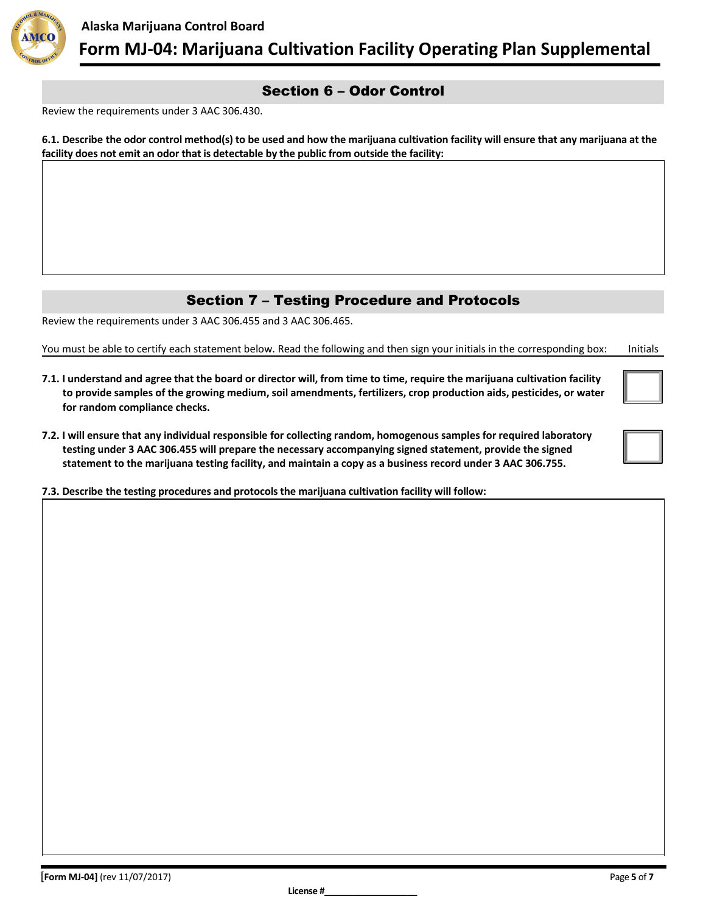

# Section 6 – Odor Control

Review the requirements under 3 AAC 306.430.

**6.1. Describe the odor control method(s) to be used and how the marijuana cultivation facility will ensure that any marijuana at the facility does not emit an odor that is detectable by the public from outside the facility:**

# Section 7 – Testing Procedure and Protocols

Review the requirements under 3 AAC 306.455 and 3 AAC 306.465.

You must be able to certify each statement below. Read the following and then sign your initials in the corresponding box: Initials

- **7.1. I understand and agree that the board or director will, from time to time, require the marijuana cultivation facility to provide samples of the growing medium, soil amendments, fertilizers, crop production aids, pesticides, or water for random compliance checks.**
- **7.2. I will ensure that any individual responsible for collecting random, homogenous samples for required laboratory testing under 3 AAC 306.455 will prepare the necessary accompanying signed statement, provide the signed statement to the marijuana testing facility, and maintain a copy as a business record under 3 AAC 306.755.**

**7.3. Describe the testing procedures and protocols the marijuana cultivation facility will follow:**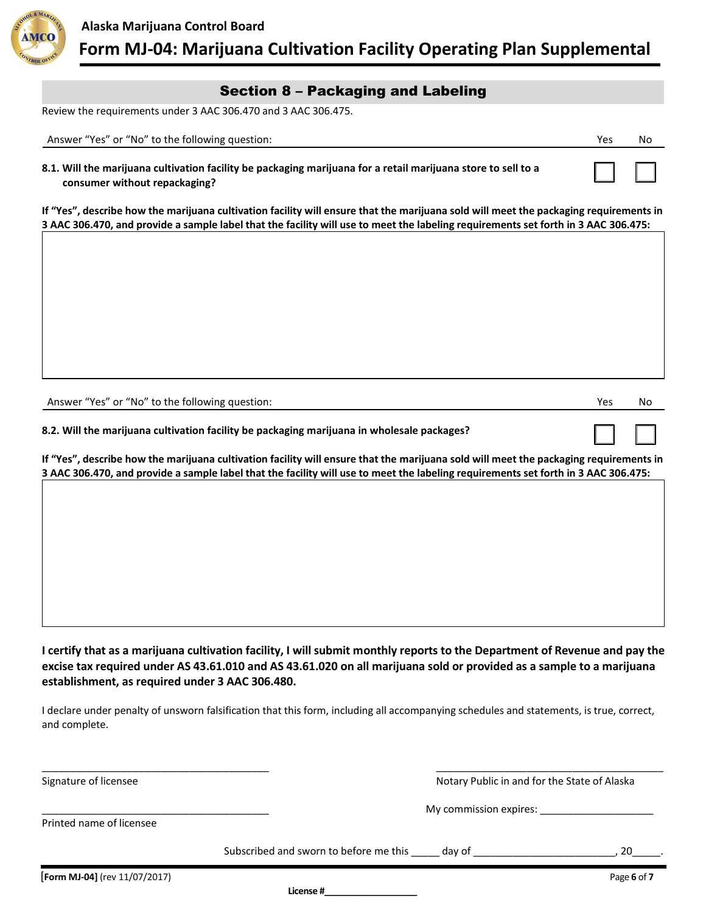

# Section 8 – Packaging and Labeling

Review the requirements under 3 AAC 306.470 and 3 AAC 306.475.

| Answer "Yes" or "No" to the following question:                                                                                                | Yes | No |
|------------------------------------------------------------------------------------------------------------------------------------------------|-----|----|
| 8.1. Will the marijuana cultivation facility be packaging marijuana for a retail marijuana store to sell to a<br>consumer without repackaging? |     |    |

**If "Yes", describe how the marijuana cultivation facility will ensure that the marijuana sold will meet the packaging requirements in 3 AAC 306.470, and provide a sample label that the facility will use to meet the labeling requirements set forth in 3 AAC 306.475:**

Answer "Yes" or "No" to the following question: Now we are not all the set of the No No No No No No No No No No

☐ ☐

**8.2. Will the marijuana cultivation facility be packaging marijuana in wholesale packages?**

**If "Yes", describe how the marijuana cultivation facility will ensure that the marijuana sold will meet the packaging requirements in 3 AAC 306.470, and provide a sample label that the facility will use to meet the labeling requirements set forth in 3 AAC 306.475:**

**I certify that as a marijuana cultivation facility, I will submit monthly reports to the Department of Revenue and pay the excise tax required under AS 43.61.010 and AS 43.61.020 on all marijuana sold or provided as a sample to a marijuana establishment, as required under 3 AAC 306.480.**

I declare under penalty of unsworn falsification that this form, including all accompanying schedules and statements, is true, correct, and complete.

\_\_\_\_\_\_\_\_\_\_\_\_\_\_\_\_\_\_\_\_\_\_\_\_\_\_\_\_\_\_\_\_\_\_\_\_\_\_\_\_ \_\_\_\_\_\_\_\_\_\_\_\_\_\_\_\_\_\_\_\_\_\_\_\_\_\_\_\_\_\_\_\_\_\_\_\_\_\_\_\_ Signature of licensee Notary Public in and for the State of Alaska

\_\_\_\_\_\_\_\_\_\_\_\_\_\_\_\_\_\_\_\_\_\_\_\_\_\_\_\_\_\_\_\_\_\_\_\_\_\_\_\_ My commission expires: \_\_\_\_\_\_\_\_\_\_\_\_\_\_\_\_\_\_\_\_

Printed name of licensee

Subscribed and sworn to before me this \_\_\_\_\_ day of \_\_\_\_\_\_\_\_\_\_\_\_\_\_\_\_\_\_\_\_\_\_\_\_\_\_\_\_, 20

**License #\_\_\_\_\_\_\_\_\_\_\_\_\_\_\_\_\_\_\_**